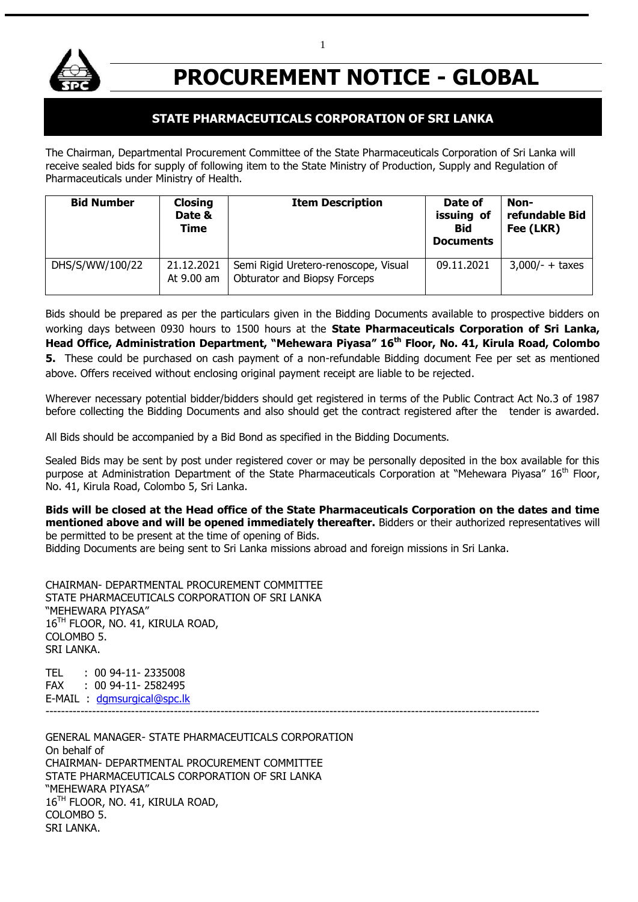

# **PROCUREMENT NOTICE - GLOBAL**

# **STATE PHARMACEUTICALS CORPORATION OF SRI LANKA**

The Chairman, Departmental Procurement Committee of the State Pharmaceuticals Corporation of Sri Lanka will receive sealed bids for supply of following item to the State Ministry of Production, Supply and Regulation of Pharmaceuticals under Ministry of Health.

| <b>Bid Number</b> | <b>Closing</b><br>Date &<br><b>Time</b> | <b>Item Description</b>                                              | Date of<br>issuing of<br><b>Bid</b><br><b>Documents</b> | Non-<br>refundable Bid<br>Fee (LKR) |
|-------------------|-----------------------------------------|----------------------------------------------------------------------|---------------------------------------------------------|-------------------------------------|
| DHS/S/WW/100/22   | 21.12.2021<br>At 9.00 am                | Semi Rigid Uretero-renoscope, Visual<br>Obturator and Biopsy Forceps | 09.11.2021                                              | $3,000/- + \text{taxes}$            |

Bids should be prepared as per the particulars given in the Bidding Documents available to prospective bidders on working days between 0930 hours to 1500 hours at the **State Pharmaceuticals Corporation of Sri Lanka, Head Office, Administration Department, "Mehewara Piyasa" 16th Floor, No. 41, Kirula Road, Colombo 5.** These could be purchased on cash payment of a non-refundable Bidding document Fee per set as mentioned above. Offers received without enclosing original payment receipt are liable to be rejected.

Wherever necessary potential bidder/bidders should get registered in terms of the Public Contract Act No.3 of 1987 before collecting the Bidding Documents and also should get the contract registered after the tender is awarded.

All Bids should be accompanied by a Bid Bond as specified in the Bidding Documents.

Sealed Bids may be sent by post under registered cover or may be personally deposited in the box available for this purpose at Administration Department of the State Pharmaceuticals Corporation at "Mehewara Piyasa" 16<sup>th</sup> Floor, No. 41, Kirula Road, Colombo 5, Sri Lanka.

**Bids will be closed at the Head office of the State Pharmaceuticals Corporation on the dates and time mentioned above and will be opened immediately thereafter.** Bidders or their authorized representatives will be permitted to be present at the time of opening of Bids.

Bidding Documents are being sent to Sri Lanka missions abroad and foreign missions in Sri Lanka.

CHAIRMAN- DEPARTMENTAL PROCUREMENT COMMITTEE STATE PHARMACEUTICALS CORPORATION OF SRI LANKA "MEHEWARA PIYASA" 16<sup>TH</sup> FLOOR, NO. 41, KIRULA ROAD, COLOMBO 5. SRI LANKA.

TEL : 00 94-11- 2335008 FAX : 00 94-11- 2582495 E-MAIL : [dgmsurgical@spc.lk](mailto:dgmsurgical@spc.lk) -------------------------------------------------------------------------------------------------------------------------------

GENERAL MANAGER- STATE PHARMACEUTICALS CORPORATION On behalf of CHAIRMAN- DEPARTMENTAL PROCUREMENT COMMITTEE STATE PHARMACEUTICALS CORPORATION OF SRI LANKA "MEHEWARA PIYASA" 16TH FLOOR, NO. 41, KIRULA ROAD, COLOMBO 5. SRI LANKA.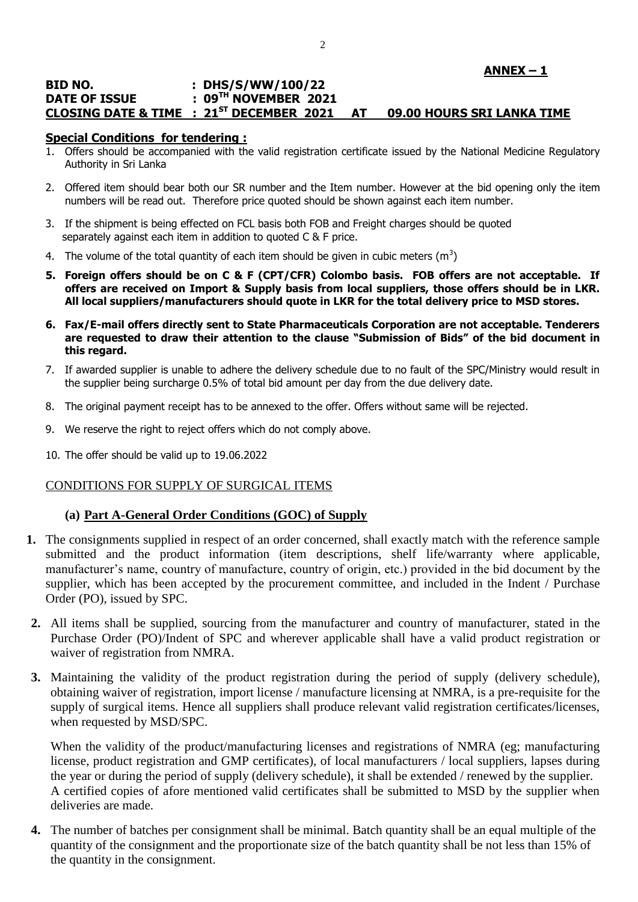## **ANNEX – 1**

#### **BID NO. : DHS/S/WW/100/22 DATE OF ISSUE : 09TH NOVEMBER 2021 CLOSING DATE & TIME : 21ST DECEMBER 2021 AT 09.00 HOURS SRI LANKA TIME**

#### **Special Conditions for tendering :**

- 1. Offers should be accompanied with the valid registration certificate issued by the National Medicine Regulatory Authority in Sri Lanka
- 2. Offered item should bear both our SR number and the Item number. However at the bid opening only the item numbers will be read out. Therefore price quoted should be shown against each item number.
- 3. If the shipment is being effected on FCL basis both FOB and Freight charges should be quoted separately against each item in addition to quoted C & F price.
- 4. The volume of the total quantity of each item should be given in cubic meters (m<sup>3</sup>)
- **5. Foreign offers should be on C & F (CPT/CFR) Colombo basis. FOB offers are not acceptable. If offers are received on Import & Supply basis from local suppliers, those offers should be in LKR. All local suppliers/manufacturers should quote in LKR for the total delivery price to MSD stores.**
- **6. Fax/E-mail offers directly sent to State Pharmaceuticals Corporation are not acceptable. Tenderers are requested to draw their attention to the clause "Submission of Bids" of the bid document in this regard.**
- 7. If awarded supplier is unable to adhere the delivery schedule due to no fault of the SPC/Ministry would result in the supplier being surcharge 0.5% of total bid amount per day from the due delivery date.
- 8. The original payment receipt has to be annexed to the offer. Offers without same will be rejected.
- 9. We reserve the right to reject offers which do not comply above.
- 10. The offer should be valid up to 19.06.2022

#### CONDITIONS FOR SUPPLY OF SURGICAL ITEMS

#### **(a) Part A-General Order Conditions (GOC) of Supply**

- **1.** The consignments supplied in respect of an order concerned, shall exactly match with the reference sample submitted and the product information (item descriptions, shelf life/warranty where applicable, manufacturer's name, country of manufacture, country of origin, etc.) provided in the bid document by the supplier, which has been accepted by the procurement committee, and included in the Indent / Purchase Order (PO), issued by SPC.
- **2.** All items shall be supplied, sourcing from the manufacturer and country of manufacturer, stated in the Purchase Order (PO)/Indent of SPC and wherever applicable shall have a valid product registration or waiver of registration from NMRA.
- **3.** Maintaining the validity of the product registration during the period of supply (delivery schedule), obtaining waiver of registration, import license / manufacture licensing at NMRA, is a pre-requisite for the supply of surgical items. Hence all suppliers shall produce relevant valid registration certificates/licenses, when requested by MSD/SPC.

When the validity of the product/manufacturing licenses and registrations of NMRA (eg; manufacturing license, product registration and GMP certificates), of local manufacturers / local suppliers, lapses during the year or during the period of supply (delivery schedule), it shall be extended / renewed by the supplier. A certified copies of afore mentioned valid certificates shall be submitted to MSD by the supplier when deliveries are made.

**4.** The number of batches per consignment shall be minimal. Batch quantity shall be an equal multiple of the quantity of the consignment and the proportionate size of the batch quantity shall be not less than 15% of the quantity in the consignment.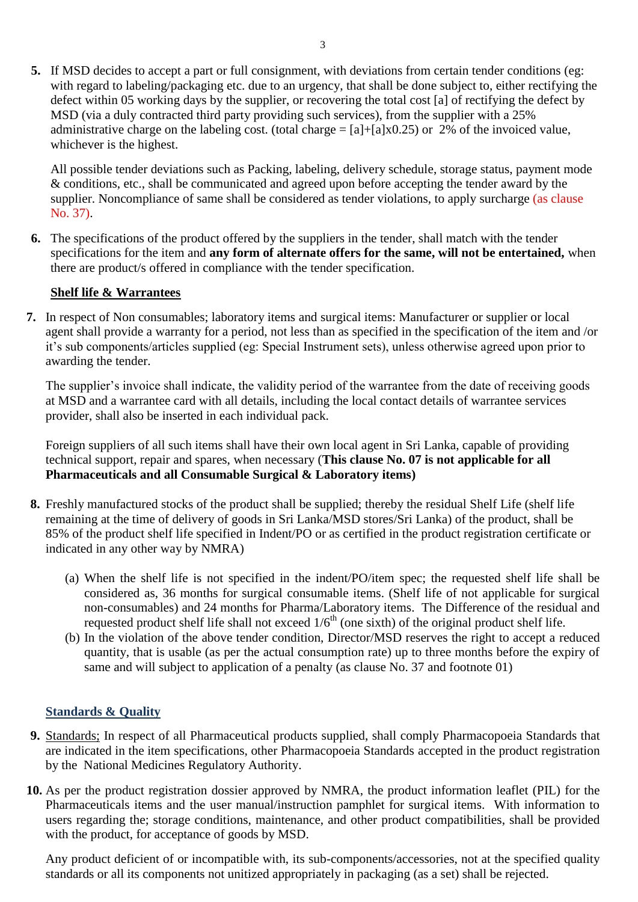**5.** If MSD decides to accept a part or full consignment, with deviations from certain tender conditions (eg: with regard to labeling/packaging etc. due to an urgency, that shall be done subject to, either rectifying the defect within 05 working days by the supplier, or recovering the total cost [a] of rectifying the defect by MSD (via a duly contracted third party providing such services), from the supplier with a 25% administrative charge on the labeling cost. (total charge  $= [a] + [a] \times 0.25$ ) or 2% of the invoiced value, whichever is the highest.

All possible tender deviations such as Packing, labeling, delivery schedule, storage status, payment mode & conditions, etc., shall be communicated and agreed upon before accepting the tender award by the supplier. Noncompliance of same shall be considered as tender violations, to apply surcharge (as clause No. 37).

**6.** The specifications of the product offered by the suppliers in the tender, shall match with the tender specifications for the item and **any form of alternate offers for the same, will not be entertained,** when there are product/s offered in compliance with the tender specification.

# **Shelf life & Warrantees**

**7.** In respect of Non consumables; laboratory items and surgical items: Manufacturer or supplier or local agent shall provide a warranty for a period, not less than as specified in the specification of the item and /or it"s sub components/articles supplied (eg: Special Instrument sets), unless otherwise agreed upon prior to awarding the tender.

The supplier's invoice shall indicate, the validity period of the warrantee from the date of receiving goods at MSD and a warrantee card with all details, including the local contact details of warrantee services provider, shall also be inserted in each individual pack.

Foreign suppliers of all such items shall have their own local agent in Sri Lanka, capable of providing technical support, repair and spares, when necessary (**This clause No. 07 is not applicable for all Pharmaceuticals and all Consumable Surgical & Laboratory items)**

- **8.** Freshly manufactured stocks of the product shall be supplied; thereby the residual Shelf Life (shelf life remaining at the time of delivery of goods in Sri Lanka/MSD stores/Sri Lanka) of the product, shall be 85% of the product shelf life specified in Indent/PO or as certified in the product registration certificate or indicated in any other way by NMRA)
	- (a) When the shelf life is not specified in the indent/PO/item spec; the requested shelf life shall be considered as, 36 months for surgical consumable items. (Shelf life of not applicable for surgical non-consumables) and 24 months for Pharma/Laboratory items. The Difference of the residual and requested product shelf life shall not exceed  $1/6<sup>th</sup>$  (one sixth) of the original product shelf life.
	- (b) In the violation of the above tender condition, Director/MSD reserves the right to accept a reduced quantity, that is usable (as per the actual consumption rate) up to three months before the expiry of same and will subject to application of a penalty (as clause No. 37 and footnote 01)

## **Standards & Quality**

- **9.** Standards; In respect of all Pharmaceutical products supplied, shall comply Pharmacopoeia Standards that are indicated in the item specifications, other Pharmacopoeia Standards accepted in the product registration by the National Medicines Regulatory Authority.
- **10.** As per the product registration dossier approved by NMRA, the product information leaflet (PIL) for the Pharmaceuticals items and the user manual/instruction pamphlet for surgical items. With information to users regarding the; storage conditions, maintenance, and other product compatibilities, shall be provided with the product, for acceptance of goods by MSD.

Any product deficient of or incompatible with, its sub-components/accessories, not at the specified quality standards or all its components not unitized appropriately in packaging (as a set) shall be rejected.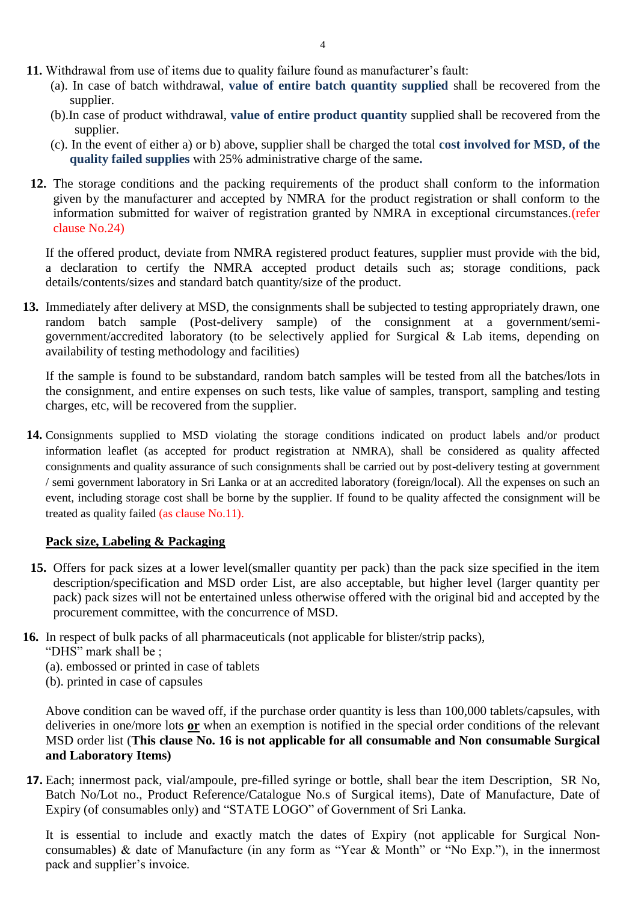- **11.** Withdrawal from use of items due to quality failure found as manufacturer's fault:
	- (a). In case of batch withdrawal, **value of entire batch quantity supplied** shall be recovered from the supplier.
	- (b).In case of product withdrawal, **value of entire product quantity** supplied shall be recovered from the supplier.
	- (c). In the event of either a) or b) above, supplier shall be charged the total **cost involved for MSD, of the quality failed supplies** with 25% administrative charge of the same**.**
- **12.** The storage conditions and the packing requirements of the product shall conform to the information given by the manufacturer and accepted by NMRA for the product registration or shall conform to the information submitted for waiver of registration granted by NMRA in exceptional circumstances.(refer clause No.24)

If the offered product, deviate from NMRA registered product features, supplier must provide with the bid, a declaration to certify the NMRA accepted product details such as; storage conditions, pack details/contents/sizes and standard batch quantity/size of the product.

**13.** Immediately after delivery at MSD, the consignments shall be subjected to testing appropriately drawn, one random batch sample (Post-delivery sample) of the consignment at a government/semigovernment/accredited laboratory (to be selectively applied for Surgical & Lab items, depending on availability of testing methodology and facilities)

If the sample is found to be substandard, random batch samples will be tested from all the batches/lots in the consignment, and entire expenses on such tests, like value of samples, transport, sampling and testing charges, etc, will be recovered from the supplier.

**14.** Consignments supplied to MSD violating the storage conditions indicated on product labels and/or product information leaflet (as accepted for product registration at NMRA), shall be considered as quality affected consignments and quality assurance of such consignments shall be carried out by post-delivery testing at government / semi government laboratory in Sri Lanka or at an accredited laboratory (foreign/local). All the expenses on such an event, including storage cost shall be borne by the supplier. If found to be quality affected the consignment will be treated as quality failed (as clause No.11).

# **Pack size, Labeling & Packaging**

- **15.** Offers for pack sizes at a lower level(smaller quantity per pack) than the pack size specified in the item description/specification and MSD order List, are also acceptable, but higher level (larger quantity per pack) pack sizes will not be entertained unless otherwise offered with the original bid and accepted by the procurement committee, with the concurrence of MSD.
- **16.** In respect of bulk packs of all pharmaceuticals (not applicable for blister/strip packs),
	- "DHS" mark shall be ;
	- (a). embossed or printed in case of tablets
	- (b). printed in case of capsules

Above condition can be waved off, if the purchase order quantity is less than 100,000 tablets/capsules, with deliveries in one/more lots **or** when an exemption is notified in the special order conditions of the relevant MSD order list (**This clause No. 16 is not applicable for all consumable and Non consumable Surgical and Laboratory Items)**

**17.** Each; innermost pack, vial/ampoule, pre-filled syringe or bottle, shall bear the item Description, SR No, Batch No/Lot no., Product Reference/Catalogue No.s of Surgical items), Date of Manufacture, Date of Expiry (of consumables only) and "STATE LOGO" of Government of Sri Lanka.

It is essential to include and exactly match the dates of Expiry (not applicable for Surgical Nonconsumables) & date of Manufacture (in any form as "Year & Month" or "No Exp."), in the innermost pack and supplier"s invoice.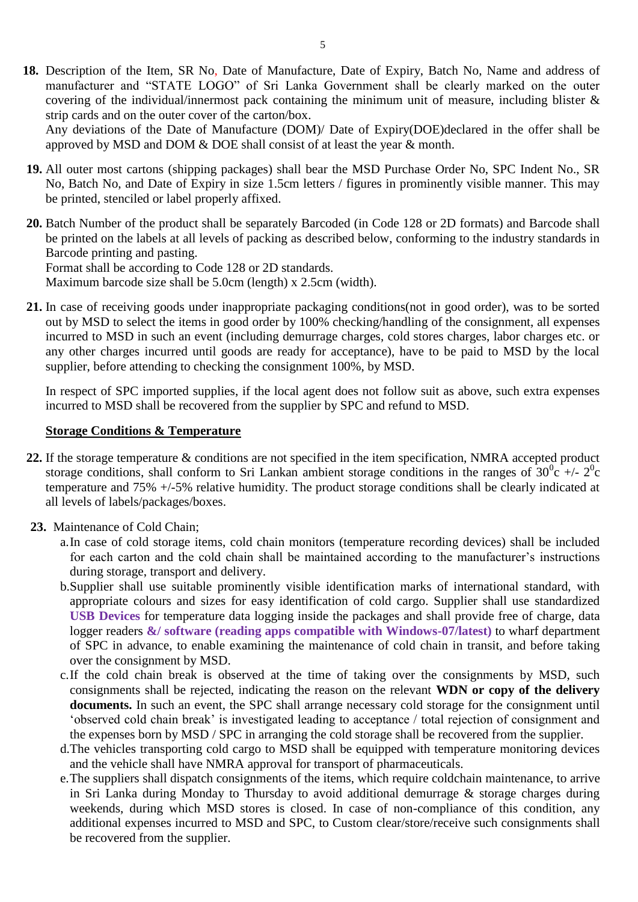**18.** Description of the Item, SR No, Date of Manufacture, Date of Expiry, Batch No, Name and address of manufacturer and "STATE LOGO" of Sri Lanka Government shall be clearly marked on the outer covering of the individual/innermost pack containing the minimum unit of measure, including blister & strip cards and on the outer cover of the carton/box.

Any deviations of the Date of Manufacture (DOM)/ Date of Expiry(DOE)declared in the offer shall be approved by MSD and DOM & DOE shall consist of at least the year & month.

- **19.** All outer most cartons (shipping packages) shall bear the MSD Purchase Order No, SPC Indent No., SR No, Batch No, and Date of Expiry in size 1.5cm letters / figures in prominently visible manner. This may be printed, stenciled or label properly affixed.
- **20.** Batch Number of the product shall be separately Barcoded (in Code 128 or 2D formats) and Barcode shall be printed on the labels at all levels of packing as described below, conforming to the industry standards in Barcode printing and pasting. Format shall be according to Code 128 or 2D standards.

Maximum barcode size shall be 5.0cm (length) x 2.5cm (width).

**21.** In case of receiving goods under inappropriate packaging conditions(not in good order), was to be sorted out by MSD to select the items in good order by 100% checking/handling of the consignment, all expenses incurred to MSD in such an event (including demurrage charges, cold stores charges, labor charges etc. or any other charges incurred until goods are ready for acceptance), have to be paid to MSD by the local supplier, before attending to checking the consignment 100%, by MSD.

In respect of SPC imported supplies, if the local agent does not follow suit as above, such extra expenses incurred to MSD shall be recovered from the supplier by SPC and refund to MSD.

#### **Storage Conditions & Temperature**

- **22.** If the storage temperature & conditions are not specified in the item specification, NMRA accepted product storage conditions, shall conform to Sri Lankan ambient storage conditions in the ranges of  $30^0c$  +/-  $2^0c$ temperature and 75% +/-5% relative humidity. The product storage conditions shall be clearly indicated at all levels of labels/packages/boxes.
- **23.** Maintenance of Cold Chain;
	- a.In case of cold storage items, cold chain monitors (temperature recording devices) shall be included for each carton and the cold chain shall be maintained according to the manufacturer's instructions during storage, transport and delivery.
	- b.Supplier shall use suitable prominently visible identification marks of international standard, with appropriate colours and sizes for easy identification of cold cargo. Supplier shall use standardized **USB Devices** for temperature data logging inside the packages and shall provide free of charge, data logger readers **&/ software (reading apps compatible with Windows-07/latest)** to wharf department of SPC in advance, to enable examining the maintenance of cold chain in transit, and before taking over the consignment by MSD.
	- c.If the cold chain break is observed at the time of taking over the consignments by MSD, such consignments shall be rejected, indicating the reason on the relevant **WDN or copy of the delivery documents.** In such an event, the SPC shall arrange necessary cold storage for the consignment until "observed cold chain break" is investigated leading to acceptance / total rejection of consignment and the expenses born by MSD / SPC in arranging the cold storage shall be recovered from the supplier.
	- d.The vehicles transporting cold cargo to MSD shall be equipped with temperature monitoring devices and the vehicle shall have NMRA approval for transport of pharmaceuticals.
	- e.The suppliers shall dispatch consignments of the items, which require coldchain maintenance, to arrive in Sri Lanka during Monday to Thursday to avoid additional demurrage & storage charges during weekends, during which MSD stores is closed. In case of non-compliance of this condition, any additional expenses incurred to MSD and SPC, to Custom clear/store/receive such consignments shall be recovered from the supplier.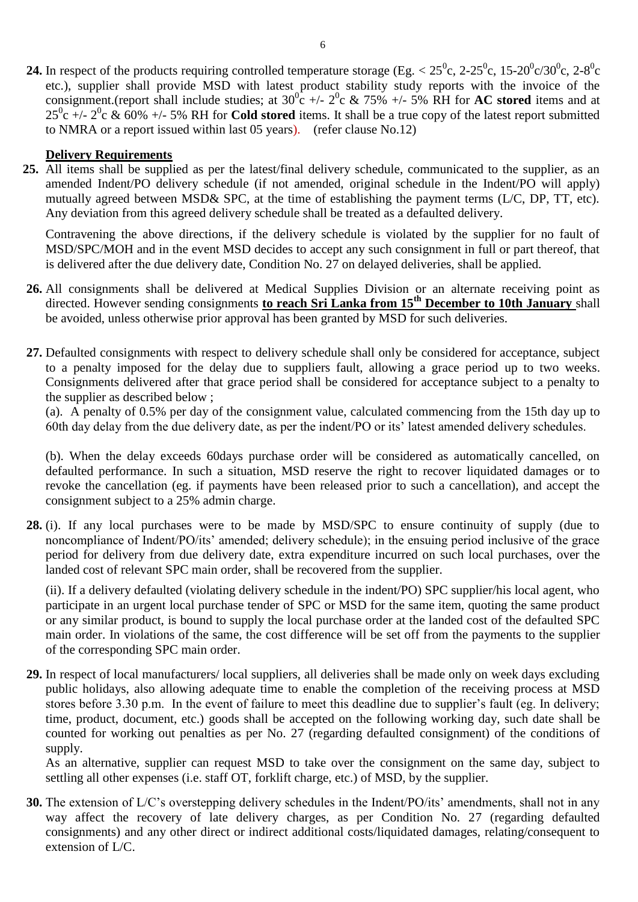**24.** In respect of the products requiring controlled temperature storage (Eg.  $< 25^\circ$ c, 2-25<sup>o</sup>c, 15-20<sup>o</sup>c/30<sup>o</sup>c, 2-8<sup>o</sup>c etc.), supplier shall provide MSD with latest product stability study reports with the invoice of the consignment.(report shall include studies; at  $30^{\circ}$  +/-  $2^{\circ}$  &  $75\%$  +/- 5% RH for **AC stored** items and at  $25^0$ c +/-  $2^0$ c & 60% +/- 5% RH for **Cold stored** items. It shall be a true copy of the latest report submitted to NMRA or a report issued within last 05 years). (refer clause No.12)

#### **Delivery Requirements**

**25.** All items shall be supplied as per the latest/final delivery schedule, communicated to the supplier, as an amended Indent/PO delivery schedule (if not amended, original schedule in the Indent/PO will apply) mutually agreed between MSD& SPC, at the time of establishing the payment terms (L/C, DP, TT, etc). Any deviation from this agreed delivery schedule shall be treated as a defaulted delivery.

Contravening the above directions, if the delivery schedule is violated by the supplier for no fault of MSD/SPC/MOH and in the event MSD decides to accept any such consignment in full or part thereof, that is delivered after the due delivery date, Condition No. 27 on delayed deliveries, shall be applied.

- **26.** All consignments shall be delivered at Medical Supplies Division or an alternate receiving point as directed. However sending consignments **to reach Sri Lanka from 15th December to 10th January** shall be avoided, unless otherwise prior approval has been granted by MSD for such deliveries.
- **27.** Defaulted consignments with respect to delivery schedule shall only be considered for acceptance, subject to a penalty imposed for the delay due to suppliers fault, allowing a grace period up to two weeks. Consignments delivered after that grace period shall be considered for acceptance subject to a penalty to the supplier as described below ;

(a). A penalty of 0.5% per day of the consignment value, calculated commencing from the 15th day up to 60th day delay from the due delivery date, as per the indent/PO or its" latest amended delivery schedules.

(b). When the delay exceeds 60days purchase order will be considered as automatically cancelled, on defaulted performance. In such a situation, MSD reserve the right to recover liquidated damages or to revoke the cancellation (eg. if payments have been released prior to such a cancellation), and accept the consignment subject to a 25% admin charge.

**28.** (i). If any local purchases were to be made by MSD/SPC to ensure continuity of supply (due to noncompliance of Indent/PO/its' amended; delivery schedule); in the ensuing period inclusive of the grace period for delivery from due delivery date, extra expenditure incurred on such local purchases, over the landed cost of relevant SPC main order, shall be recovered from the supplier.

(ii). If a delivery defaulted (violating delivery schedule in the indent/PO) SPC supplier/his local agent, who participate in an urgent local purchase tender of SPC or MSD for the same item, quoting the same product or any similar product, is bound to supply the local purchase order at the landed cost of the defaulted SPC main order. In violations of the same, the cost difference will be set off from the payments to the supplier of the corresponding SPC main order.

**29.** In respect of local manufacturers/ local suppliers, all deliveries shall be made only on week days excluding public holidays, also allowing adequate time to enable the completion of the receiving process at MSD stores before 3.30 p.m. In the event of failure to meet this deadline due to supplier's fault (eg. In delivery; time, product, document, etc.) goods shall be accepted on the following working day, such date shall be counted for working out penalties as per No. 27 (regarding defaulted consignment) of the conditions of supply.

As an alternative, supplier can request MSD to take over the consignment on the same day, subject to settling all other expenses (i.e. staff OT, forklift charge, etc.) of MSD, by the supplier.

**30.** The extension of L/C's overstepping delivery schedules in the Indent/PO/its' amendments, shall not in any way affect the recovery of late delivery charges, as per Condition No. 27 (regarding defaulted consignments) and any other direct or indirect additional costs/liquidated damages, relating/consequent to extension of L/C.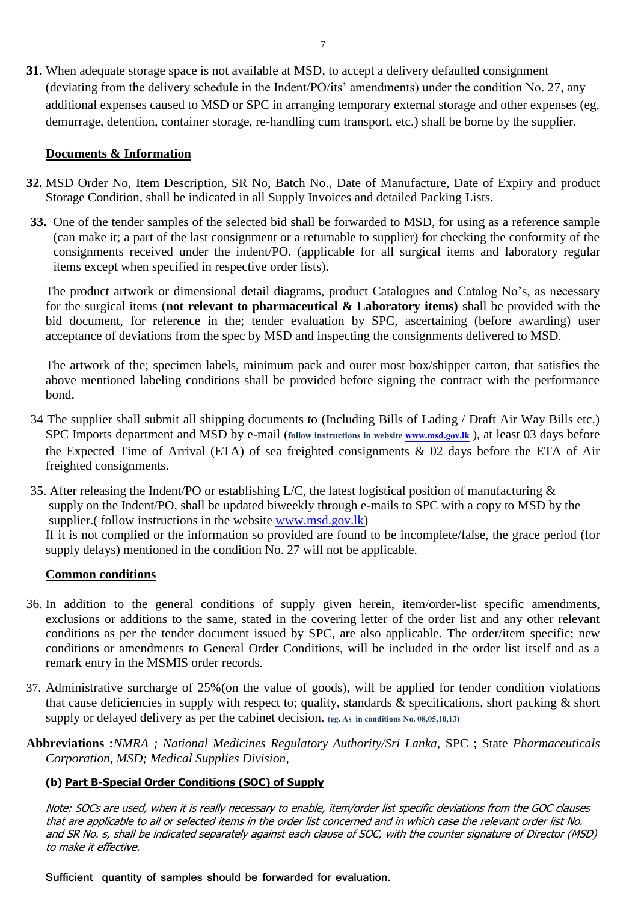**31.** When adequate storage space is not available at MSD, to accept a delivery defaulted consignment (deviating from the delivery schedule in the Indent/PO/its" amendments) under the condition No. 27, any additional expenses caused to MSD or SPC in arranging temporary external storage and other expenses (eg. demurrage, detention, container storage, re-handling cum transport, etc.) shall be borne by the supplier.

## **Documents & Information**

- **32.** MSD Order No, Item Description, SR No, Batch No., Date of Manufacture, Date of Expiry and product Storage Condition, shall be indicated in all Supply Invoices and detailed Packing Lists.
- **33.** One of the tender samples of the selected bid shall be forwarded to MSD, for using as a reference sample (can make it; a part of the last consignment or a returnable to supplier) for checking the conformity of the consignments received under the indent/PO. (applicable for all surgical items and laboratory regular items except when specified in respective order lists).

The product artwork or dimensional detail diagrams, product Catalogues and Catalog No"s, as necessary for the surgical items (**not relevant to pharmaceutical & Laboratory items)** shall be provided with the bid document, for reference in the; tender evaluation by SPC, ascertaining (before awarding) user acceptance of deviations from the spec by MSD and inspecting the consignments delivered to MSD.

The artwork of the; specimen labels, minimum pack and outer most box/shipper carton, that satisfies the above mentioned labeling conditions shall be provided before signing the contract with the performance bond.

- 34 The supplier shall submit all shipping documents to (Including Bills of Lading / Draft Air Way Bills etc.) SPC Imports department and MSD by e-mail (follow instructions in website **www.msd.gov.lk**), at least 03 days before the Expected Time of Arrival (ETA) of sea freighted consignments & 02 days before the ETA of Air freighted consignments.
- 35. After releasing the Indent/PO or establishing L/C, the latest logistical position of manufacturing & supply on the Indent/PO, shall be updated biweekly through e-mails to SPC with a copy to MSD by the supplier.( follow instructions in the website [www.msd.gov.lk\)](http://www.msd.gov.lk/) If it is not complied or the information so provided are found to be incomplete/false, the grace period (for

supply delays) mentioned in the condition No. 27 will not be applicable.

#### **Common conditions**

- 36. In addition to the general conditions of supply given herein, item/order-list specific amendments, exclusions or additions to the same, stated in the covering letter of the order list and any other relevant conditions as per the tender document issued by SPC, are also applicable. The order/item specific; new conditions or amendments to General Order Conditions, will be included in the order list itself and as a remark entry in the MSMIS order records.
- 37. Administrative surcharge of 25%(on the value of goods), will be applied for tender condition violations that cause deficiencies in supply with respect to; quality, standards  $\&$  specifications, short packing  $\&$  short supply or delayed delivery as per the cabinet decision. **(eg. As in conditions No. 08,05,10,13)**
- **Abbreviations :***NMRA ; National Medicines Regulatory Authority/Sri Lanka,* SPC ; State *Pharmaceuticals Corporation, MSD; Medical Supplies Division,*

## **(b) Part B-Special Order Conditions (SOC) of Supply**

Note: SOCs are used, when it is really necessary to enable, item/order list specific deviations from the GOC clauses that are applicable to all or selected items in the order list concerned and in which case the relevant order list No. and SR No. s, shall be indicated separately against each clause of SOC, with the counter signature of Director (MSD) to make it effective.

**Sufficient quantity of samples should be forwarded for evaluation.**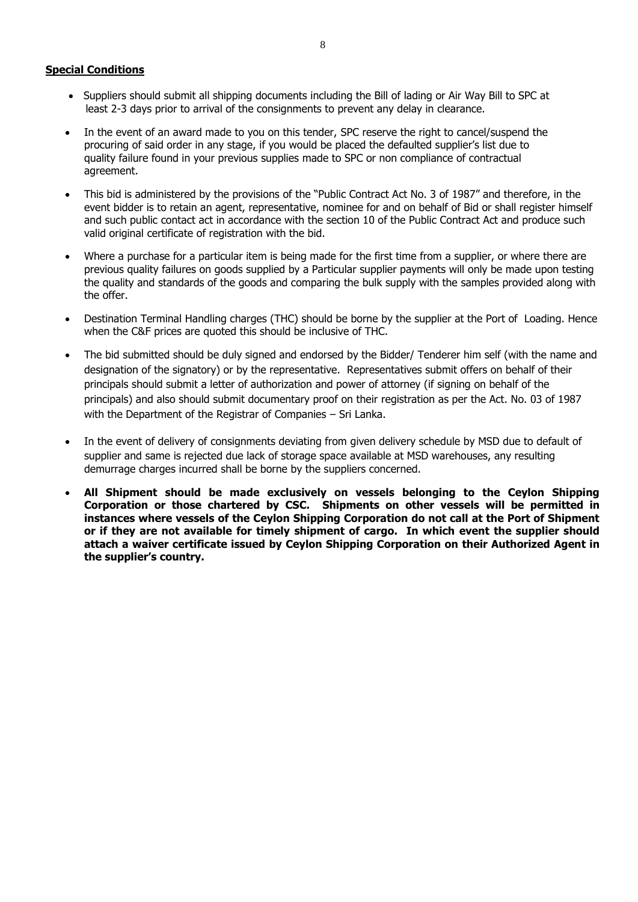#### **Special Conditions**

- Suppliers should submit all shipping documents including the Bill of lading or Air Way Bill to SPC at least 2-3 days prior to arrival of the consignments to prevent any delay in clearance.
- In the event of an award made to you on this tender, SPC reserve the right to cancel/suspend the procuring of said order in any stage, if you would be placed the defaulted supplier's list due to quality failure found in your previous supplies made to SPC or non compliance of contractual agreement.
- This bid is administered by the provisions of the "Public Contract Act No. 3 of 1987" and therefore, in the event bidder is to retain an agent, representative, nominee for and on behalf of Bid or shall register himself and such public contact act in accordance with the section 10 of the Public Contract Act and produce such valid original certificate of registration with the bid.
- Where a purchase for a particular item is being made for the first time from a supplier, or where there are previous quality failures on goods supplied by a Particular supplier payments will only be made upon testing the quality and standards of the goods and comparing the bulk supply with the samples provided along with the offer.
- Destination Terminal Handling charges (THC) should be borne by the supplier at the Port of Loading. Hence when the C&F prices are quoted this should be inclusive of THC.
- The bid submitted should be duly signed and endorsed by the Bidder/ Tenderer him self (with the name and designation of the signatory) or by the representative. Representatives submit offers on behalf of their principals should submit a letter of authorization and power of attorney (if signing on behalf of the principals) and also should submit documentary proof on their registration as per the Act. No. 03 of 1987 with the Department of the Registrar of Companies – Sri Lanka.
- In the event of delivery of consignments deviating from given delivery schedule by MSD due to default of supplier and same is rejected due lack of storage space available at MSD warehouses, any resulting demurrage charges incurred shall be borne by the suppliers concerned.
- **All Shipment should be made exclusively on vessels belonging to the Ceylon Shipping Corporation or those chartered by CSC. Shipments on other vessels will be permitted in instances where vessels of the Ceylon Shipping Corporation do not call at the Port of Shipment or if they are not available for timely shipment of cargo. In which event the supplier should attach a waiver certificate issued by Ceylon Shipping Corporation on their Authorized Agent in the supplier's country.**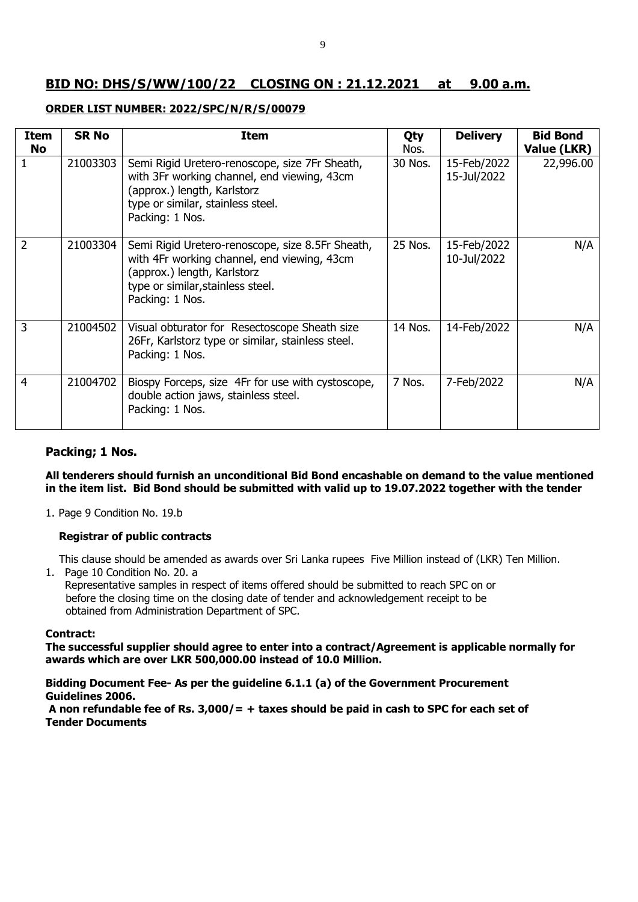# **BID NO: DHS/S/WW/100/22 CLOSING ON : 21.12.2021 at 9.00 a.m.**

#### **ORDER LIST NUMBER: 2022/SPC/N/R/S/00079**

| <b>Item</b><br><b>No</b> | <b>SR No</b> | <b>Item</b>                                                                                                                                                                            | Qty<br>Nos. | <b>Delivery</b>            | <b>Bid Bond</b><br>Value (LKR) |
|--------------------------|--------------|----------------------------------------------------------------------------------------------------------------------------------------------------------------------------------------|-------------|----------------------------|--------------------------------|
|                          | 21003303     | Semi Rigid Uretero-renoscope, size 7Fr Sheath,<br>with 3Fr working channel, end viewing, 43cm<br>(approx.) length, Karlstorz<br>type or similar, stainless steel.<br>Packing: 1 Nos.   | 30 Nos.     | 15-Feb/2022<br>15-Jul/2022 | 22,996.00                      |
| $\mathcal{P}$            | 21003304     | Semi Rigid Uretero-renoscope, size 8.5Fr Sheath,<br>with 4Fr working channel, end viewing, 43cm<br>(approx.) length, Karlstorz<br>type or similar, stainless steel.<br>Packing: 1 Nos. | 25 Nos.     | 15-Feb/2022<br>10-Jul/2022 | N/A                            |
| 3                        | 21004502     | Visual obturator for Resectoscope Sheath size<br>26Fr, Karlstorz type or similar, stainless steel.<br>Packing: 1 Nos.                                                                  | 14 Nos.     | 14-Feb/2022                | N/A                            |
| 4                        | 21004702     | Biospy Forceps, size 4Fr for use with cystoscope,<br>double action jaws, stainless steel.<br>Packing: 1 Nos.                                                                           | 7 Nos.      | 7-Feb/2022                 | N/A                            |

#### **Packing; 1 Nos.**

**All tenderers should furnish an unconditional Bid Bond encashable on demand to the value mentioned in the item list. Bid Bond should be submitted with valid up to 19.07.2022 together with the tender**

1. Page 9 Condition No. 19.b

#### **Registrar of public contracts**

This clause should be amended as awards over Sri Lanka rupees Five Million instead of (LKR) Ten Million.

1. Page 10 Condition No. 20. a

Representative samples in respect of items offered should be submitted to reach SPC on or before the closing time on the closing date of tender and acknowledgement receipt to be obtained from Administration Department of SPC.

#### **Contract:**

**The successful supplier should agree to enter into a contract/Agreement is applicable normally for awards which are over LKR 500,000.00 instead of 10.0 Million.**

**Bidding Document Fee- As per the guideline 6.1.1 (a) of the Government Procurement Guidelines 2006.**

**A non refundable fee of Rs. 3,000/= + taxes should be paid in cash to SPC for each set of Tender Documents**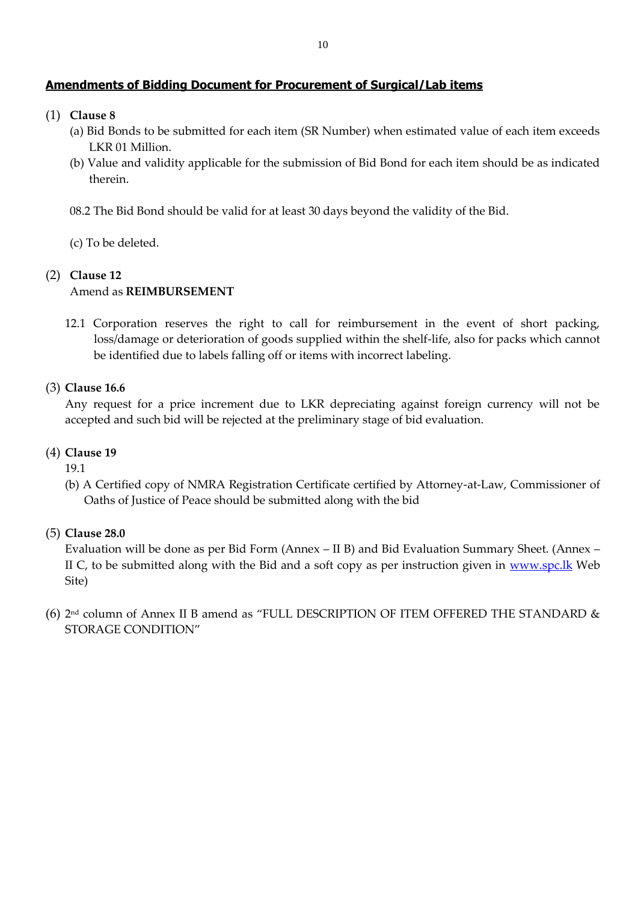## **Amendments of Bidding Document for Procurement of Surgical/Lab items**

- (1) **Clause 8**
	- (a) Bid Bonds to be submitted for each item (SR Number) when estimated value of each item exceeds LKR 01 Million.
	- (b) Value and validity applicable for the submission of Bid Bond for each item should be as indicated therein.
	- 08.2 The Bid Bond should be valid for at least 30 days beyond the validity of the Bid.
	- (c) To be deleted.

## (2) **Clause 12**

## Amend as **REIMBURSEMENT**

12.1 Corporation reserves the right to call for reimbursement in the event of short packing, loss/damage or deterioration of goods supplied within the shelf-life, also for packs which cannot be identified due to labels falling off or items with incorrect labeling.

## (3) **Clause 16.6**

Any request for a price increment due to LKR depreciating against foreign currency will not be accepted and such bid will be rejected at the preliminary stage of bid evaluation.

#### (4) **Clause 19**

19.1

(b) A Certified copy of NMRA Registration Certificate certified by Attorney-at-Law, Commissioner of Oaths of Justice of Peace should be submitted along with the bid

(5) **Clause 28.0** 

Evaluation will be done as per Bid Form (Annex – II B) and Bid Evaluation Summary Sheet. (Annex – II C, to be submitted along with the Bid and a soft copy as per instruction given in  $www.spc.lk$  Web Site)

 $(6)$  2<sup>nd</sup> column of Annex II B amend as "FULL DESCRIPTION OF ITEM OFFERED THE STANDARD & STORAGE CONDITION"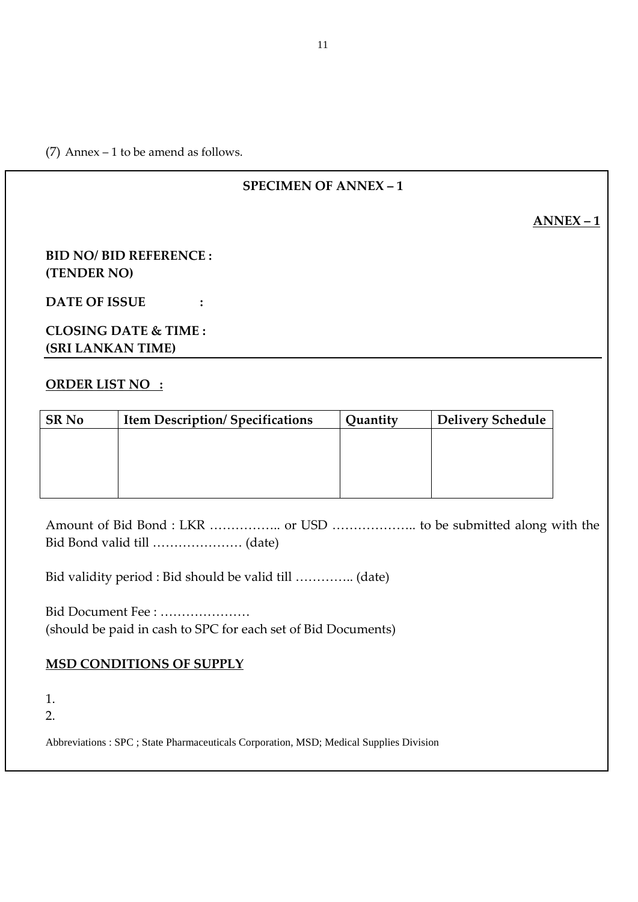(7) Annex – 1 to be amend as follows.

# **SPECIMEN OF ANNEX – 1**

**ANNEX – 1**

# **BID NO/ BID REFERENCE : (TENDER NO)**

**DATE OF ISSUE :**

# **CLOSING DATE & TIME : (SRI LANKAN TIME)**

# **ORDER LIST NO :**

| <b>SR No</b> | <b>Item Description/Specifications</b> | Quantity | <b>Delivery Schedule</b> |
|--------------|----------------------------------------|----------|--------------------------|
|              |                                        |          |                          |
|              |                                        |          |                          |
|              |                                        |          |                          |
|              |                                        |          |                          |

Amount of Bid Bond : LKR …………….. or USD ……………….. to be submitted along with the Bid Bond valid till ………………… (date)

Bid validity period : Bid should be valid till ………….. (date)

Bid Document Fee : ………………… (should be paid in cash to SPC for each set of Bid Documents)

# **MSD CONDITIONS OF SUPPLY**

1. 2.

Abbreviations : SPC ; State Pharmaceuticals Corporation, MSD; Medical Supplies Division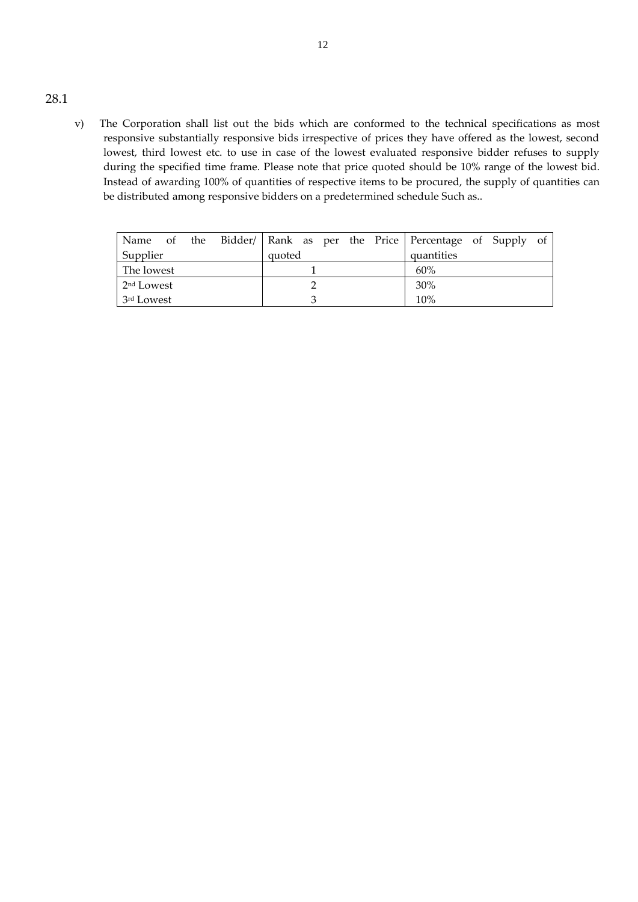- 28.1
- v) The Corporation shall list out the bids which are conformed to the technical specifications as most responsive substantially responsive bids irrespective of prices they have offered as the lowest, second lowest, third lowest etc. to use in case of the lowest evaluated responsive bidder refuses to supply during the specified time frame. Please note that price quoted should be 10% range of the lowest bid. Instead of awarding 100% of quantities of respective items to be procured, the supply of quantities can be distributed among responsive bidders on a predetermined schedule Such as..

|                        |  |        |  |  | Name of the Bidder/   Rank as per the Price   Percentage of Supply of |  |  |
|------------------------|--|--------|--|--|-----------------------------------------------------------------------|--|--|
| Supplier               |  | quoted |  |  | quantities                                                            |  |  |
| The lowest             |  |        |  |  | 60%                                                                   |  |  |
| 2 <sup>nd</sup> Lowest |  |        |  |  | 30%                                                                   |  |  |
| 3 <sup>rd</sup> Lowest |  |        |  |  | 10%                                                                   |  |  |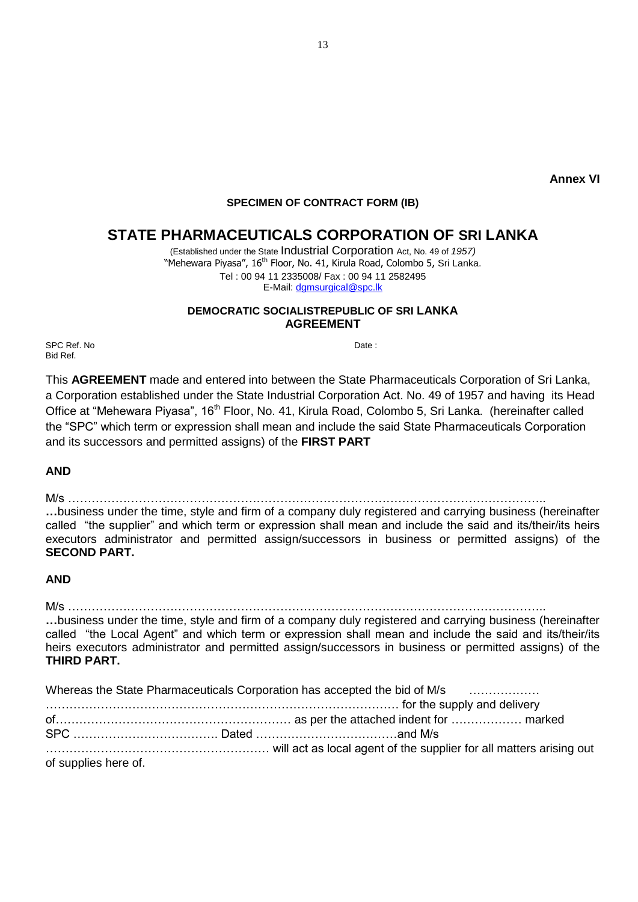**Annex VI**

#### **SPECIMEN OF CONTRACT FORM (IB)**

# **STATE PHARMACEUTICALS CORPORATION OF SRI LANKA**

(Established under the State Industrial Corporation Act, No. 49 of *1957)* "Mehewara Piyasa", 16<sup>th</sup> Floor, No. 41, Kirula Road, Colombo 5, Sri Lanka. Tel : 00 94 11 2335008/ Fax : 00 94 11 2582495 E-Mail: [dgmsurgical@spc.lk](mailto:dgmsurgical@spc.lk)

#### **DEMOCRATIC SOCIALISTREPUBLIC OF SRI LANKA AGREEMENT**

SPC Ref. No Date : Bid Ref.

This **AGREEMENT** made and entered into between the State Pharmaceuticals Corporation of Sri Lanka, a Corporation established under the State Industrial Corporation Act. No. 49 of 1957 and having its Head Office at "Mehewara Piyasa", 16<sup>th</sup> Floor, No. 41, Kirula Road, Colombo 5, Sri Lanka. (hereinafter called the "SPC" which term or expression shall mean and include the said State Pharmaceuticals Corporation and its successors and permitted assigns) of the **FIRST PART**

**AND** 

M/s …………………………………………………………………………………………………………..

**…**business under the time, style and firm of a company duly registered and carrying business (hereinafter called "the supplier" and which term or expression shall mean and include the said and its/their/its heirs executors administrator and permitted assign/successors in business or permitted assigns) of the **SECOND PART.**

#### **AND**

M/s ………………………………………………………………………………………………………….. **…**business under the time, style and firm of a company duly registered and carrying business (hereinafter called "the Local Agent" and which term or expression shall mean and include the said and its/their/its heirs executors administrator and permitted assign/successors in business or permitted assigns) of the **THIRD PART.**

|                      | Whereas the State Pharmaceuticals Corporation has accepted the bid of M/s |  |
|----------------------|---------------------------------------------------------------------------|--|
|                      |                                                                           |  |
|                      |                                                                           |  |
|                      |                                                                           |  |
|                      | will act as local agent of the supplier for all matters arising out       |  |
| of supplies here of. |                                                                           |  |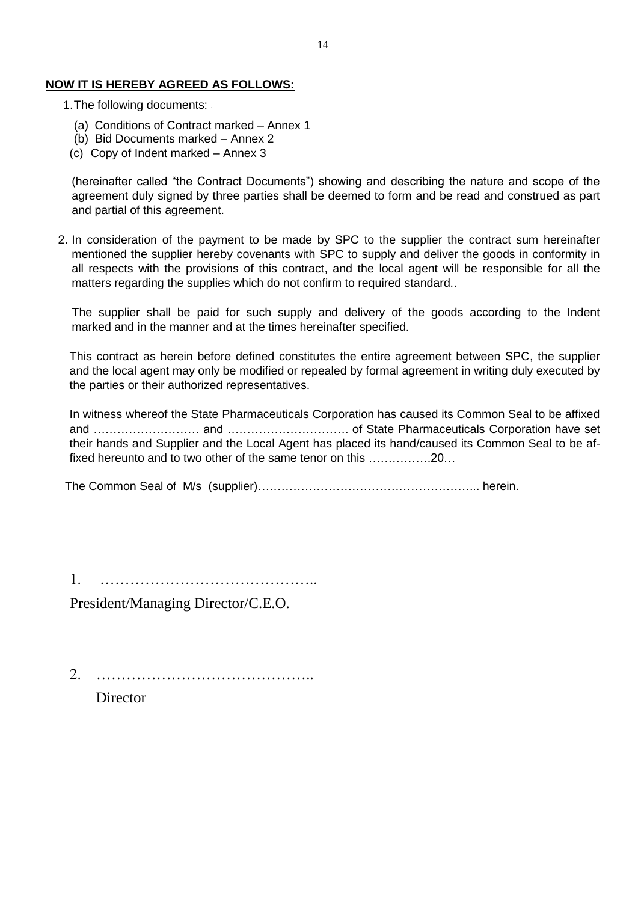#### **NOW IT IS HEREBY AGREED AS FOLLOWS:**

- 1.The following documents:
	- (a) Conditions of Contract marked Annex 1
	- (b) Bid Documents marked Annex 2
	- (c) Copy of Indent marked Annex 3

(hereinafter called "the Contract Documents") showing and describing the nature and scope of the agreement duly signed by three parties shall be deemed to form and be read and construed as part and partial of this agreement.

2. In consideration of the payment to be made by SPC to the supplier the contract sum hereinafter mentioned the supplier hereby covenants with SPC to supply and deliver the goods in conformity in all respects with the provisions of this contract, and the local agent will be responsible for all the matters regarding the supplies which do not confirm to required standard..

The supplier shall be paid for such supply and delivery of the goods according to the Indent marked and in the manner and at the times hereinafter specified.

This contract as herein before defined constitutes the entire agreement between SPC, the supplier and the local agent may only be modified or repealed by formal agreement in writing duly executed by the parties or their authorized representatives.

In witness whereof the State Pharmaceuticals Corporation has caused its Common Seal to be affixed and ……………………… and …………………………. of State Pharmaceuticals Corporation have set their hands and Supplier and the Local Agent has placed its hand/caused its Common Seal to be affixed hereunto and to two other of the same tenor on this …………….20…

The Common Seal of M/s (supplier)………………………………………………... herein.

1. ……………………………………..

President/Managing Director/C.E.O.

2. ……………………………………..

Director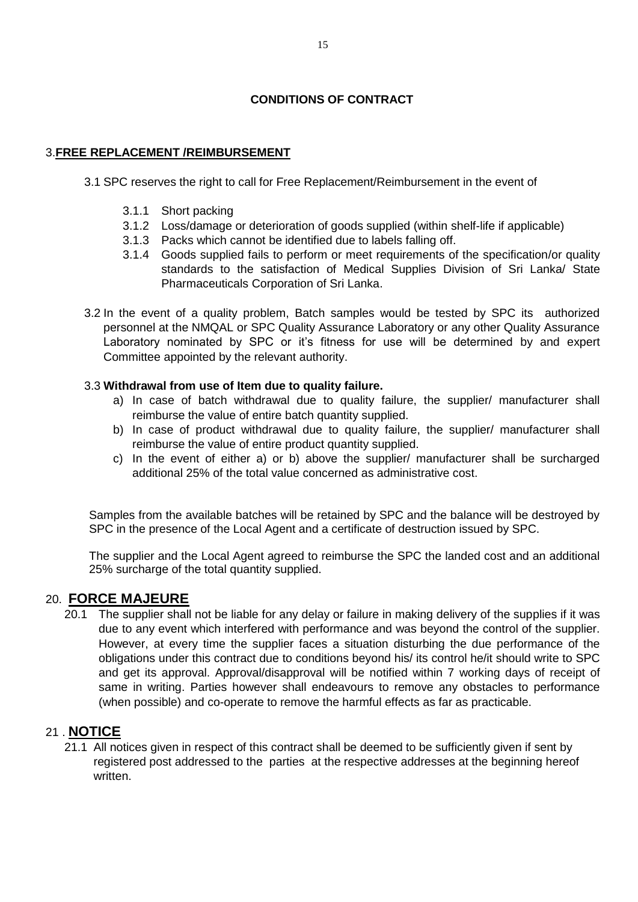# **CONDITIONS OF CONTRACT**

## 3.**FREE REPLACEMENT /REIMBURSEMENT**

- 3.1 SPC reserves the right to call for Free Replacement/Reimbursement in the event of
	- 3.1.1 Short packing
	- 3.1.2 Loss/damage or deterioration of goods supplied (within shelf-life if applicable)
	- 3.1.3 Packs which cannot be identified due to labels falling off.
	- 3.1.4 Goods supplied fails to perform or meet requirements of the specification/or quality standards to the satisfaction of Medical Supplies Division of Sri Lanka/ State Pharmaceuticals Corporation of Sri Lanka.
- 3.2 In the event of a quality problem, Batch samples would be tested by SPC its authorized personnel at the NMQAL or SPC Quality Assurance Laboratory or any other Quality Assurance Laboratory nominated by SPC or it's fitness for use will be determined by and expert Committee appointed by the relevant authority.

## 3.3 **Withdrawal from use of Item due to quality failure.**

- a) In case of batch withdrawal due to quality failure, the supplier/ manufacturer shall reimburse the value of entire batch quantity supplied.
- b) In case of product withdrawal due to quality failure, the supplier/ manufacturer shall reimburse the value of entire product quantity supplied.
- c) In the event of either a) or b) above the supplier/ manufacturer shall be surcharged additional 25% of the total value concerned as administrative cost.

Samples from the available batches will be retained by SPC and the balance will be destroyed by SPC in the presence of the Local Agent and a certificate of destruction issued by SPC.

The supplier and the Local Agent agreed to reimburse the SPC the landed cost and an additional 25% surcharge of the total quantity supplied.

## 20. **FORCE MAJEURE**

20.1 The supplier shall not be liable for any delay or failure in making delivery of the supplies if it was due to any event which interfered with performance and was beyond the control of the supplier. However, at every time the supplier faces a situation disturbing the due performance of the obligations under this contract due to conditions beyond his/ its control he/it should write to SPC and get its approval. Approval/disapproval will be notified within 7 working days of receipt of same in writing. Parties however shall endeavours to remove any obstacles to performance (when possible) and co-operate to remove the harmful effects as far as practicable.

## 21 . **NOTICE**

21.1 All notices given in respect of this contract shall be deemed to be sufficiently given if sent by registered post addressed to the parties at the respective addresses at the beginning hereof written.